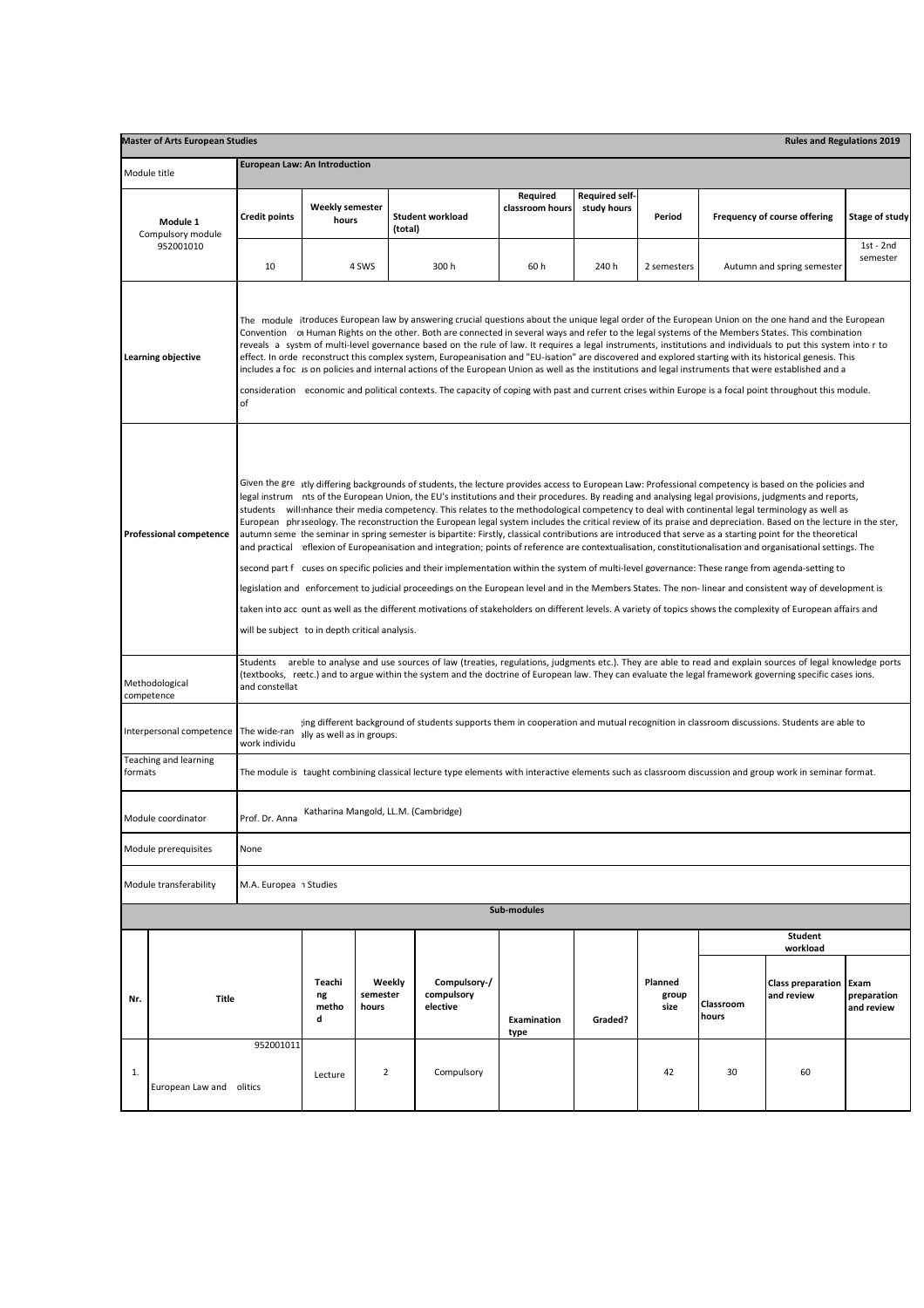| <b>Master of Arts European Studies</b><br><b>Rules and Regulations 2019</b> |                                |                                                                                                                                                                                                                                                                                                                                                                                                                                                                                                                                                                                                                                                                                                                                                                                                                                                                                                                                                                                                                                                                                                                                                                                                                                                                                                                                                                                                                                                                                                                |                                 |                             |                                        |                             |                                      |                          |                            |                                        |                                   |  |
|-----------------------------------------------------------------------------|--------------------------------|----------------------------------------------------------------------------------------------------------------------------------------------------------------------------------------------------------------------------------------------------------------------------------------------------------------------------------------------------------------------------------------------------------------------------------------------------------------------------------------------------------------------------------------------------------------------------------------------------------------------------------------------------------------------------------------------------------------------------------------------------------------------------------------------------------------------------------------------------------------------------------------------------------------------------------------------------------------------------------------------------------------------------------------------------------------------------------------------------------------------------------------------------------------------------------------------------------------------------------------------------------------------------------------------------------------------------------------------------------------------------------------------------------------------------------------------------------------------------------------------------------------|---------------------------------|-----------------------------|----------------------------------------|-----------------------------|--------------------------------------|--------------------------|----------------------------|----------------------------------------|-----------------------------------|--|
| Module title                                                                |                                | <b>European Law: An Introduction</b>                                                                                                                                                                                                                                                                                                                                                                                                                                                                                                                                                                                                                                                                                                                                                                                                                                                                                                                                                                                                                                                                                                                                                                                                                                                                                                                                                                                                                                                                           |                                 |                             |                                        |                             |                                      |                          |                            |                                        |                                   |  |
|                                                                             | Module 1<br>Compulsory module  | <b>Credit points</b>                                                                                                                                                                                                                                                                                                                                                                                                                                                                                                                                                                                                                                                                                                                                                                                                                                                                                                                                                                                                                                                                                                                                                                                                                                                                                                                                                                                                                                                                                           | <b>Weekly semester</b><br>hours |                             | <b>Student workload</b><br>(total)     | Required<br>classroom hours | <b>Required self-</b><br>study hours | Period                   |                            | Frequency of course offering           | Stage of study                    |  |
|                                                                             | 952001010                      | 10                                                                                                                                                                                                                                                                                                                                                                                                                                                                                                                                                                                                                                                                                                                                                                                                                                                                                                                                                                                                                                                                                                                                                                                                                                                                                                                                                                                                                                                                                                             |                                 | 4 SWS                       | 300 h                                  | 60h                         | 240 h                                | 2 semesters              |                            | Autumn and spring semester             | $1st - 2nd$<br>semester           |  |
|                                                                             | Learning objective             | The module itroduces European law by answering crucial questions about the unique legal order of the European Union on the one hand and the European<br>Convention of Human Rights on the other. Both are connected in several ways and refer to the legal systems of the Members States. This combination<br>reveals a systm of multi-level governance based on the rule of law. It requires a legal instruments, institutions and individuals to put this system into r to<br>effect. In orde reconstruct this complex system, Europeanisation and "EU-isation" are discovered and explored starting with its historical genesis. This<br>includes a foc is on policies and internal actions of the European Union as well as the institutions and legal instruments that were established and a<br>consideration economic and political contexts. The capacity of coping with past and current crises within Europe is a focal point throughout this module.<br>of                                                                                                                                                                                                                                                                                                                                                                                                                                                                                                                                          |                                 |                             |                                        |                             |                                      |                          |                            |                                        |                                   |  |
|                                                                             | <b>Professional competence</b> | Given the gre itly differing backgrounds of students, the lecture provides access to European Law: Professional competency is based on the policies and<br>legal instrum nts of the European Union, the EU's institutions and their procedures. By reading and analysing legal provisions, judgments and reports,<br>students will nhance their media competency. This relates to the methodological competency to deal with continental legal terminology as well as<br>European phriseology. The reconstruction the European legal system includes the critical review of its praise and depreciation. Based on the lecture in the ster,<br>autumn seme the seminar in spring semester is bipartite: Firstly, classical contributions are introduced that serve as a starting point for the theoretical<br>and practical eflexion of Europeanisation and integration; points of reference are contextualisation, constitutionalisation and organisational settings. The<br>second part f cuses on specific policies and their implementation within the system of multi-level governance: These range from agenda-setting to<br>legislation and enforcement to judicial proceedings on the European level and in the Members States. The non-linear and consistent way of development is<br>taken into acc ount as well as the different motivations of stakeholders on different levels. A variety of topics shows the complexity of European affairs and<br>will be subject to in depth critical analysis. |                                 |                             |                                        |                             |                                      |                          |                            |                                        |                                   |  |
|                                                                             | Methodological<br>competence   | areble to analyse and use sources of law (treaties, regulations, judgments etc.). They are able to read and explain sources of legal knowledge ports<br>Students<br>(textbooks, reetc.) and to argue within the system and the doctrine of European law. They can evaluate the legal framework governing specific cases ions.<br>and constellat                                                                                                                                                                                                                                                                                                                                                                                                                                                                                                                                                                                                                                                                                                                                                                                                                                                                                                                                                                                                                                                                                                                                                                |                                 |                             |                                        |                             |                                      |                          |                            |                                        |                                   |  |
| Interpersonal competence                                                    |                                | jing different background of students supports them in cooperation and mutual recognition in classroom discussions. Students are able to<br>The wide-ran<br>ally as well as in groups.<br>work individu                                                                                                                                                                                                                                                                                                                                                                                                                                                                                                                                                                                                                                                                                                                                                                                                                                                                                                                                                                                                                                                                                                                                                                                                                                                                                                        |                                 |                             |                                        |                             |                                      |                          |                            |                                        |                                   |  |
| Teaching and learning<br>formats                                            |                                | The module is taught combining classical lecture type elements with interactive elements such as classroom discussion and group work in seminar format.                                                                                                                                                                                                                                                                                                                                                                                                                                                                                                                                                                                                                                                                                                                                                                                                                                                                                                                                                                                                                                                                                                                                                                                                                                                                                                                                                        |                                 |                             |                                        |                             |                                      |                          |                            |                                        |                                   |  |
| Module coordinator                                                          |                                | Katharina Mangold, LL.M. (Cambridge)<br>Prof. Dr. Anna                                                                                                                                                                                                                                                                                                                                                                                                                                                                                                                                                                                                                                                                                                                                                                                                                                                                                                                                                                                                                                                                                                                                                                                                                                                                                                                                                                                                                                                         |                                 |                             |                                        |                             |                                      |                          |                            |                                        |                                   |  |
| Module prerequisites                                                        |                                | None                                                                                                                                                                                                                                                                                                                                                                                                                                                                                                                                                                                                                                                                                                                                                                                                                                                                                                                                                                                                                                                                                                                                                                                                                                                                                                                                                                                                                                                                                                           |                                 |                             |                                        |                             |                                      |                          |                            |                                        |                                   |  |
| Module transferability<br>M.A. Europea 1 Studies                            |                                |                                                                                                                                                                                                                                                                                                                                                                                                                                                                                                                                                                                                                                                                                                                                                                                                                                                                                                                                                                                                                                                                                                                                                                                                                                                                                                                                                                                                                                                                                                                |                                 |                             |                                        |                             |                                      |                          |                            |                                        |                                   |  |
| Sub-modules                                                                 |                                |                                                                                                                                                                                                                                                                                                                                                                                                                                                                                                                                                                                                                                                                                                                                                                                                                                                                                                                                                                                                                                                                                                                                                                                                                                                                                                                                                                                                                                                                                                                |                                 |                             |                                        |                             |                                      |                          |                            |                                        |                                   |  |
|                                                                             |                                |                                                                                                                                                                                                                                                                                                                                                                                                                                                                                                                                                                                                                                                                                                                                                                                                                                                                                                                                                                                                                                                                                                                                                                                                                                                                                                                                                                                                                                                                                                                |                                 |                             |                                        |                             |                                      |                          | <b>Student</b><br>workload |                                        |                                   |  |
| Nr.                                                                         | <b>Title</b>                   |                                                                                                                                                                                                                                                                                                                                                                                                                                                                                                                                                                                                                                                                                                                                                                                                                                                                                                                                                                                                                                                                                                                                                                                                                                                                                                                                                                                                                                                                                                                | Teachi<br>ng<br>metho<br>d      | Weekly<br>semester<br>hours | Compulsory-/<br>compulsory<br>elective | <b>Examination</b><br>type  | Graded?                              | Planned<br>group<br>size | Classroom<br>hours         | <b>Class preparation</b><br>and review | Exam<br>preparation<br>and review |  |
| 1.                                                                          | European Law and               | 952001011<br>olitics                                                                                                                                                                                                                                                                                                                                                                                                                                                                                                                                                                                                                                                                                                                                                                                                                                                                                                                                                                                                                                                                                                                                                                                                                                                                                                                                                                                                                                                                                           | Lecture                         | $\overline{2}$              | Compulsory                             |                             |                                      | 42                       | 30                         | 60                                     |                                   |  |